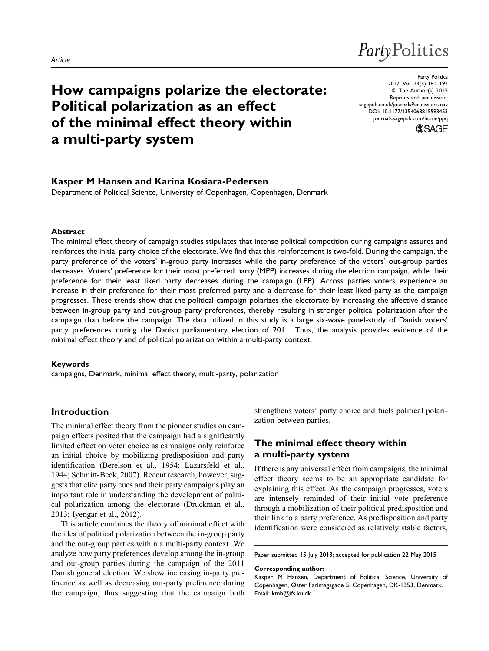# PartyPolitics

# How campaigns polarize the electorate: Political polarization as an effect of the minimal effect theory within a multi-party system

Party Politics 2017, Vol. 23(3) 181–192 © The Author(s) 2015 Reprints and permission: [sagepub.co.uk/journalsPermissions.nav](https://uk.sagepub.com/en-gb/journals-permissions) [DOI: 10.1177/1354068815593453](https://doi.org/10.1177/1354068815593453) [journals.sagepub.com/home/ppq](http://journals.sagepub.com/home/ppq)



# Kasper M Hansen and Karina Kosiara-Pedersen

Department of Political Science, University of Copenhagen, Copenhagen, Denmark

#### Abstract

The minimal effect theory of campaign studies stipulates that intense political competition during campaigns assures and reinforces the initial party choice of the electorate. We find that this reinforcement is two-fold. During the campaign, the party preference of the voters' in-group party increases while the party preference of the voters' out-group parties decreases. Voters' preference for their most preferred party (MPP) increases during the election campaign, while their preference for their least liked party decreases during the campaign (LPP). Across parties voters experience an increase in their preference for their most preferred party and a decrease for their least liked party as the campaign progresses. These trends show that the political campaign polarizes the electorate by increasing the affective distance between in-group party and out-group party preferences, thereby resulting in stronger political polarization after the campaign than before the campaign. The data utilized in this study is a large six-wave panel-study of Danish voters' party preferences during the Danish parliamentary election of 2011. Thus, the analysis provides evidence of the minimal effect theory and of political polarization within a multi-party context.

#### Keywords

campaigns, Denmark, minimal effect theory, multi-party, polarization

# Introduction

The minimal effect theory from the pioneer studies on campaign effects posited that the campaign had a significantly limited effect on voter choice as campaigns only reinforce an initial choice by mobilizing predisposition and party identification (Berelson et al., 1954; Lazarsfeld et al., 1944; Schmitt-Beck, 2007). Recent research, however, suggests that elite party cues and their party campaigns play an important role in understanding the development of political polarization among the electorate (Druckman et al., 2013; Iyengar et al., 2012).

This article combines the theory of minimal effect with the idea of political polarization between the in-group party and the out-group parties within a multi-party context. We analyze how party preferences develop among the in-group and out-group parties during the campaign of the 2011 Danish general election. We show increasing in-party preference as well as decreasing out-party preference during the campaign, thus suggesting that the campaign both

strengthens voters' party choice and fuels political polarization between parties.

# The minimal effect theory within a multi-party system

If there is any universal effect from campaigns, the minimal effect theory seems to be an appropriate candidate for explaining this effect. As the campaign progresses, voters are intensely reminded of their initial vote preference through a mobilization of their political predisposition and their link to a party preference. As predisposition and party identification were considered as relatively stable factors,

Paper submitted 15 July 2013; accepted for publication 22 May 2015

Corresponding author:

Kasper M Hansen, Department of Political Science, University of Copenhagen, Øster Farimagsgade 5, Copenhagen, DK-1353, Denmark. Email: kmh@ifs.ku.dk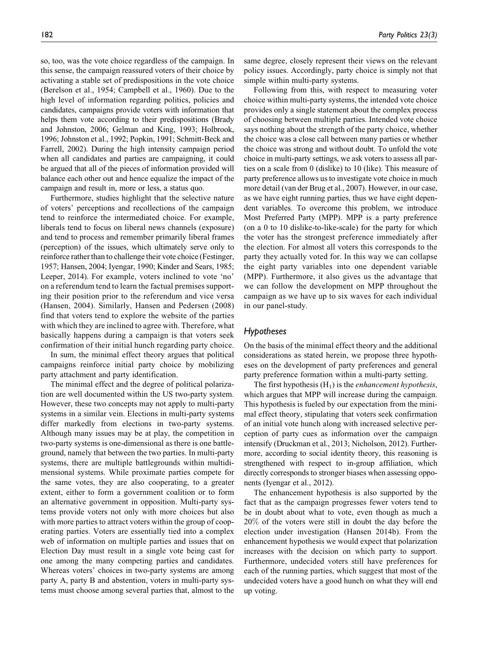so, too, was the vote choice regardless of the campaign. In this sense, the campaign reassured voters of their choice by activating a stable set of predispositions in the vote choice (Berelson et al., 1954; Campbell et al., 1960). Due to the high level of information regarding politics, policies and candidates, campaigns provide voters with information that helps them vote according to their predispositions (Brady and Johnston, 2006; Gelman and King, 1993; Holbrook, 1996; Johnston et al., 1992; Popkin, 1991; Schmitt-Beck and Farrell, 2002). During the high intensity campaign period when all candidates and parties are campaigning, it could be argued that all of the pieces of information provided will balance each other out and hence equalize the impact of the campaign and result in, more or less, a status quo.

Furthermore, studies highlight that the selective nature of voters' perceptions and recollections of the campaign tend to reinforce the intermediated choice. For example, liberals tend to focus on liberal news channels (exposure) and tend to process and remember primarily liberal frames (perception) of the issues, which ultimately serve only to reinforce rather than to challenge their vote choice (Festinger, 1957; Hansen, 2004; Iyengar, 1990; Kinder and Sears, 1985; Leeper, 2014). For example, voters inclined to vote 'no' on a referendum tend to learn the factual premises supporting their position prior to the referendum and vice versa (Hansen, 2004). Similarly, Hansen and Pedersen (2008) find that voters tend to explore the website of the parties with which they are inclined to agree with. Therefore, what basically happens during a campaign is that voters seek confirmation of their initial hunch regarding party choice.

In sum, the minimal effect theory argues that political campaigns reinforce initial party choice by mobilizing party attachment and party identification.

The minimal effect and the degree of political polarization are well documented within the US two-party system. However, these two concepts may not apply to multi-party systems in a similar vein. Elections in multi-party systems differ markedly from elections in two-party systems. Although many issues may be at play, the competition in two-party systems is one-dimensional as there is one battleground, namely that between the two parties. In multi-party systems, there are multiple battlegrounds within multidimensional systems. While proximate parties compete for the same votes, they are also cooperating, to a greater extent, either to form a government coalition or to form an alternative government in opposition. Multi-party systems provide voters not only with more choices but also with more parties to attract voters within the group of cooperating parties. Voters are essentially tied into a complex web of information on multiple parties and issues that on Election Day must result in a single vote being cast for one among the many competing parties and candidates. Whereas voters' choices in two-party systems are among party A, party B and abstention, voters in multi-party systems must choose among several parties that, almost to the same degree, closely represent their views on the relevant policy issues. Accordingly, party choice is simply not that simple within multi-party systems.

Following from this, with respect to measuring voter choice within multi-party systems, the intended vote choice provides only a single statement about the complex process of choosing between multiple parties. Intended vote choice says nothing about the strength of the party choice, whether the choice was a close call between many parties or whether the choice was strong and without doubt. To unfold the vote choice in multi-party settings, we ask voters to assess all parties on a scale from 0 (dislike) to 10 (like). This measure of party preference allows us to investigate vote choice in much more detail (van der Brug et al., 2007). However, in our case, as we have eight running parties, thus we have eight dependent variables. To overcome this problem, we introduce Most Preferred Party (MPP). MPP is a party preference (on a 0 to 10 dislike-to-like-scale) for the party for which the voter has the strongest preference immediately after the election. For almost all voters this corresponds to the party they actually voted for. In this way we can collapse the eight party variables into one dependent variable (MPP). Furthermore, it also gives us the advantage that we can follow the development on MPP throughout the campaign as we have up to six waves for each individual in our panel-study.

# Hypotheses

On the basis of the minimal effect theory and the additional considerations as stated herein, we propose three hypotheses on the development of party preferences and general party preference formation within a multi-party setting.

The first hypothesis  $(H_1)$  is the *enhancement hypothesis*, which argues that MPP will increase during the campaign. This hypothesis is fueled by our expectation from the minimal effect theory, stipulating that voters seek confirmation of an initial vote hunch along with increased selective perception of party cues as information over the campaign intensify (Druckman et al., 2013; Nicholson, 2012). Furthermore, according to social identity theory, this reasoning is strengthened with respect to in-group affiliation, which directly corresponds to stronger biases when assessing opponents (Iyengar et al., 2012).

The enhancement hypothesis is also supported by the fact that as the campaign progresses fewer voters tend to be in doubt about what to vote, even though as much a 20% of the voters were still in doubt the day before the election under investigation (Hansen 2014b). From the enhancement hypothesis we would expect that polarization increases with the decision on which party to support. Furthermore, undecided voters still have preferences for each of the running parties, which suggest that most of the undecided voters have a good hunch on what they will end up voting.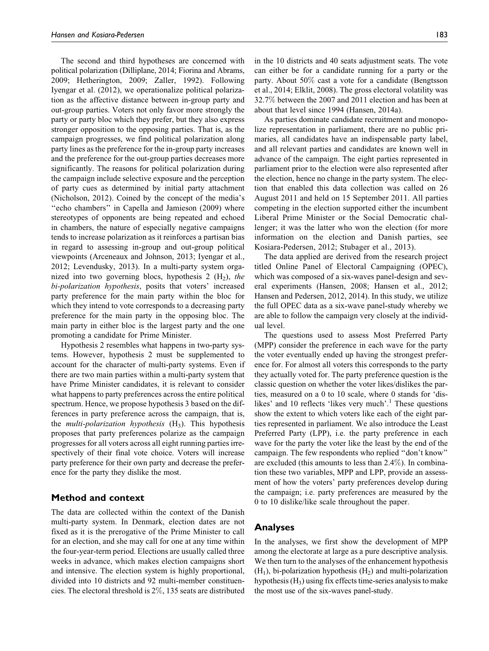The second and third hypotheses are concerned with political polarization (Dilliplane, 2014; Fiorina and Abrams, 2009; Hetherington, 2009; Zaller, 1992). Following Iyengar et al. (2012), we operationalize political polarization as the affective distance between in-group party and out-group parties. Voters not only favor more strongly the party or party bloc which they prefer, but they also express stronger opposition to the opposing parties. That is, as the campaign progresses, we find political polarization along party lines as the preference for the in-group party increases and the preference for the out-group parties decreases more significantly. The reasons for political polarization during the campaign include selective exposure and the perception of party cues as determined by initial party attachment (Nicholson, 2012). Coined by the concept of the media's "echo chambers" in Capella and Jamieson (2009) where stereotypes of opponents are being repeated and echoed in chambers, the nature of especially negative campaigns tends to increase polarization as it reinforces a partisan bias in regard to assessing in-group and out-group political viewpoints (Arceneaux and Johnson, 2013; Iyengar et al., 2012; Levendusky, 2013). In a multi-party system organized into two governing blocs, hypothesis 2  $(H<sub>2</sub>)$ , the bi-polarization hypothesis, posits that voters' increased party preference for the main party within the bloc for which they intend to vote corresponds to a decreasing party preference for the main party in the opposing bloc. The main party in either bloc is the largest party and the one promoting a candidate for Prime Minister.

Hypothesis 2 resembles what happens in two-party systems. However, hypothesis 2 must be supplemented to account for the character of multi-party systems. Even if there are two main parties within a multi-party system that have Prime Minister candidates, it is relevant to consider what happens to party preferences across the entire political spectrum. Hence, we propose hypothesis 3 based on the differences in party preference across the campaign, that is, the *multi-polarization hypothesis*  $(H_3)$ . This hypothesis proposes that party preferences polarize as the campaign progresses for all voters across all eight running parties irrespectively of their final vote choice. Voters will increase party preference for their own party and decrease the preference for the party they dislike the most.

# Method and context

The data are collected within the context of the Danish multi-party system. In Denmark, election dates are not fixed as it is the prerogative of the Prime Minister to call for an election, and she may call for one at any time within the four-year-term period. Elections are usually called three weeks in advance, which makes election campaigns short and intensive. The election system is highly proportional, divided into 10 districts and 92 multi-member constituencies. The electoral threshold is 2%, 135 seats are distributed in the 10 districts and 40 seats adjustment seats. The vote can either be for a candidate running for a party or the party. About 50% cast a vote for a candidate (Bengtsson et al., 2014; Elklit, 2008). The gross electoral volatility was 32.7% between the 2007 and 2011 election and has been at about that level since 1994 (Hansen, 2014a).

As parties dominate candidate recruitment and monopolize representation in parliament, there are no public primaries, all candidates have an indispensable party label, and all relevant parties and candidates are known well in advance of the campaign. The eight parties represented in parliament prior to the election were also represented after the election, hence no change in the party system. The election that enabled this data collection was called on 26 August 2011 and held on 15 September 2011. All parties competing in the election supported either the incumbent Liberal Prime Minister or the Social Democratic challenger; it was the latter who won the election (for more information on the election and Danish parties, see Kosiara-Pedersen, 2012; Stubager et al., 2013).

The data applied are derived from the research project titled Online Panel of Electoral Campaigning (OPEC), which was composed of a six-waves panel-design and several experiments (Hansen, 2008; Hansen et al., 2012; Hansen and Pedersen, 2012, 2014). In this study, we utilize the full OPEC data as a six-wave panel-study whereby we are able to follow the campaign very closely at the individual level.

The questions used to assess Most Preferred Party (MPP) consider the preference in each wave for the party the voter eventually ended up having the strongest preference for. For almost all voters this corresponds to the party they actually voted for. The party preference question is the classic question on whether the voter likes/dislikes the parties, measured on a 0 to 10 scale, where 0 stands for 'dislikes' and 10 reflects 'likes very much'.<sup>1</sup> These questions show the extent to which voters like each of the eight parties represented in parliament. We also introduce the Least Preferred Party (LPP), i.e. the party preference in each wave for the party the voter like the least by the end of the campaign. The few respondents who replied ''don't know'' are excluded (this amounts to less than 2.4%). In combination these two variables, MPP and LPP, provide an assessment of how the voters' party preferences develop during the campaign; i.e. party preferences are measured by the 0 to 10 dislike/like scale throughout the paper.

#### Analyses

In the analyses, we first show the development of MPP among the electorate at large as a pure descriptive analysis. We then turn to the analyses of the enhancement hypothesis  $(H_1)$ , bi-polarization hypothesis  $(H_2)$  and multi-polarization hypothesis  $(H_3)$  using fix effects time-series analysis to make the most use of the six-waves panel-study.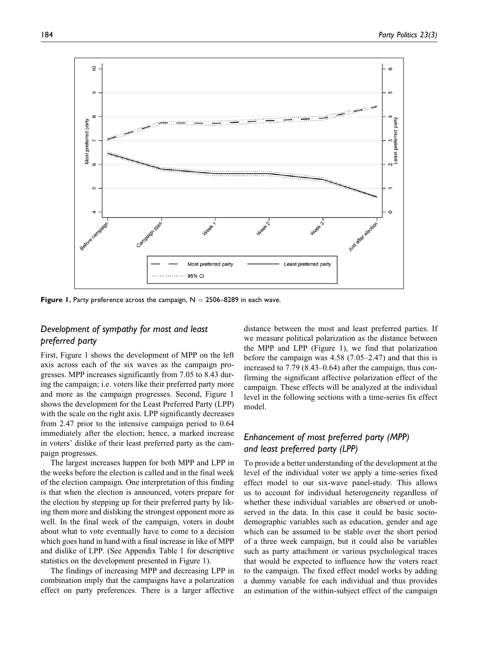

Figure 1. Party preference across the campaign,  $N = 2506-8289$  in each wave.

# Development of sympathy for most and least preferred party

First, Figure 1 shows the development of MPP on the left axis across each of the six waves as the campaign progresses. MPP increases significantly from 7.05 to 8.43 during the campaign; i.e. voters like their preferred party more and more as the campaign progresses. Second, Figure 1 shows the development for the Least Preferred Party (LPP) with the scale on the right axis. LPP significantly decreases from 2.47 prior to the intensive campaign period to 0.64 immediately after the election; hence, a marked increase in voters' dislike of their least preferred party as the campaign progresses.

The largest increases happen for both MPP and LPP in the weeks before the election is called and in the final week of the election campaign. One interpretation of this finding is that when the election is announced, voters prepare for the election by stepping up for their preferred party by liking them more and disliking the strongest opponent more as well. In the final week of the campaign, voters in doubt about what to vote eventually have to come to a decision which goes hand in hand with a final increase in like of MPP and dislike of LPP. (See Appendix Table 1 for descriptive statistics on the development presented in Figure 1).

The findings of increasing MPP and decreasing LPP in combination imply that the campaigns have a polarization effect on party preferences. There is a larger affective

distance between the most and least preferred parties. If we measure political polarization as the distance between the MPP and LPP (Figure 1), we find that polarization before the campaign was 4.58 (7.05–2.47) and that this is increased to 7.79 (8.43–0.64) after the campaign, thus confirming the significant affective polarization effect of the campaign. These effects will be analyzed at the individual level in the following sections with a time-series fix effect model.

# Enhancement of most preferred party (MPP) and least preferred party (LPP)

To provide a better understanding of the development at the level of the individual voter we apply a time-series fixed effect model to our six-wave panel-study. This allows us to account for individual heterogeneity regardless of whether these individual variables are observed or unobserved in the data. In this case it could be basic sociodemographic variables such as education, gender and age which can be assumed to be stable over the short period of a three week campaign, but it could also be variables such as party attachment or various psychological traces that would be expected to influence how the voters react to the campaign. The fixed effect model works by adding a dummy variable for each individual and thus provides an estimation of the within-subject effect of the campaign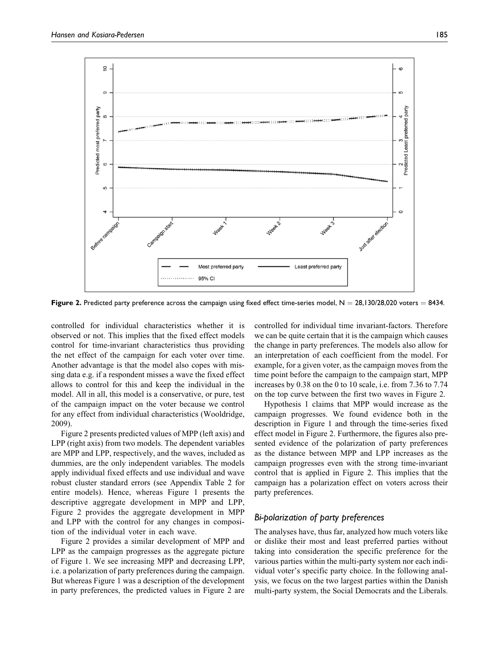

Figure 2. Predicted party preference across the campaign using fixed effect time-series model,  $N = 28,130/28,020$  voters = 8434.

controlled for individual characteristics whether it is observed or not. This implies that the fixed effect models control for time-invariant characteristics thus providing the net effect of the campaign for each voter over time. Another advantage is that the model also copes with missing data e.g. if a respondent misses a wave the fixed effect allows to control for this and keep the individual in the model. All in all, this model is a conservative, or pure, test of the campaign impact on the voter because we control for any effect from individual characteristics (Wooldridge, 2009).

Figure 2 presents predicted values of MPP (left axis) and LPP (right axis) from two models. The dependent variables are MPP and LPP, respectively, and the waves, included as dummies, are the only independent variables. The models apply individual fixed effects and use individual and wave robust cluster standard errors (see Appendix Table 2 for entire models). Hence, whereas Figure 1 presents the descriptive aggregate development in MPP and LPP, Figure 2 provides the aggregate development in MPP and LPP with the control for any changes in composition of the individual voter in each wave.

Figure 2 provides a similar development of MPP and LPP as the campaign progresses as the aggregate picture of Figure 1. We see increasing MPP and decreasing LPP, i.e. a polarization of party preferences during the campaign. But whereas Figure 1 was a description of the development in party preferences, the predicted values in Figure 2 are

controlled for individual time invariant-factors. Therefore we can be quite certain that it is the campaign which causes the change in party preferences. The models also allow for an interpretation of each coefficient from the model. For example, for a given voter, as the campaign moves from the time point before the campaign to the campaign start, MPP increases by 0.38 on the 0 to 10 scale, i.e. from 7.36 to 7.74 on the top curve between the first two waves in Figure 2.

Hypothesis 1 claims that MPP would increase as the campaign progresses. We found evidence both in the description in Figure 1 and through the time-series fixed effect model in Figure 2. Furthermore, the figures also presented evidence of the polarization of party preferences as the distance between MPP and LPP increases as the campaign progresses even with the strong time-invariant control that is applied in Figure 2. This implies that the campaign has a polarization effect on voters across their party preferences.

# Bi-polarization of party preferences

The analyses have, thus far, analyzed how much voters like or dislike their most and least preferred parties without taking into consideration the specific preference for the various parties within the multi-party system nor each individual voter's specific party choice. In the following analysis, we focus on the two largest parties within the Danish multi-party system, the Social Democrats and the Liberals.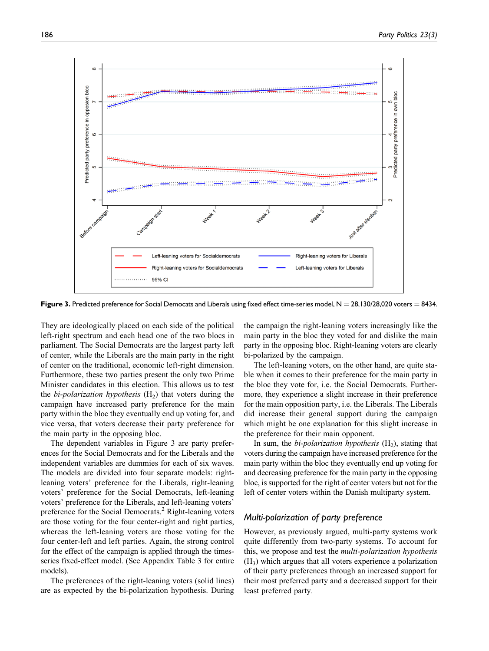

Figure 3. Predicted preference for Social Democats and Liberals using fixed effect time-series model,  $N = 28,130/28,020$  voters = 8434.

They are ideologically placed on each side of the political left-right spectrum and each head one of the two blocs in parliament. The Social Democrats are the largest party left of center, while the Liberals are the main party in the right of center on the traditional, economic left-right dimension. Furthermore, these two parties present the only two Prime Minister candidates in this election. This allows us to test the *bi-polarization hypothesis*  $(H<sub>2</sub>)$  that voters during the campaign have increased party preference for the main party within the bloc they eventually end up voting for, and vice versa, that voters decrease their party preference for the main party in the opposing bloc.

The dependent variables in Figure 3 are party preferences for the Social Democrats and for the Liberals and the independent variables are dummies for each of six waves. The models are divided into four separate models: rightleaning voters' preference for the Liberals, right-leaning voters' preference for the Social Democrats, left-leaning voters' preference for the Liberals, and left-leaning voters' preference for the Social Democrats.<sup>2</sup> Right-leaning voters are those voting for the four center-right and right parties, whereas the left-leaning voters are those voting for the four center-left and left parties. Again, the strong control for the effect of the campaign is applied through the timesseries fixed-effect model. (See Appendix Table 3 for entire models).

The preferences of the right-leaning voters (solid lines) are as expected by the bi-polarization hypothesis. During

the campaign the right-leaning voters increasingly like the main party in the bloc they voted for and dislike the main party in the opposing bloc. Right-leaning voters are clearly bi-polarized by the campaign.

The left-leaning voters, on the other hand, are quite stable when it comes to their preference for the main party in the bloc they vote for, i.e. the Social Democrats. Furthermore, they experience a slight increase in their preference for the main opposition party, i.e. the Liberals. The Liberals did increase their general support during the campaign which might be one explanation for this slight increase in the preference for their main opponent.

In sum, the *bi-polarization hypothesis*  $(H_2)$ , stating that voters during the campaign have increased preference for the main party within the bloc they eventually end up voting for and decreasing preference for the main party in the opposing bloc, is supported for the right of center voters but not for the left of center voters within the Danish multiparty system.

# Multi-polarization of party preference

However, as previously argued, multi-party systems work quite differently from two-party systems. To account for this, we propose and test the multi-polarization hypothesis  $(H<sub>3</sub>)$  which argues that all voters experience a polarization of their party preferences through an increased support for their most preferred party and a decreased support for their least preferred party.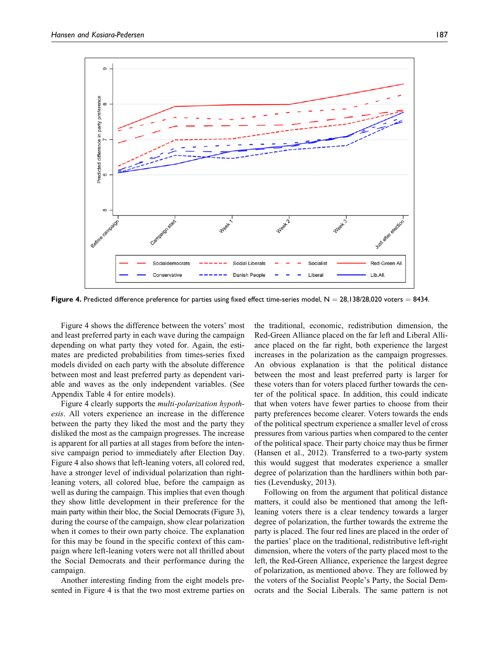

Figure 4. Predicted difference preference for parties using fixed effect time-series model,  $N = 28,138/28,020$  voters = 8434.

Figure 4 shows the difference between the voters' most and least preferred party in each wave during the campaign depending on what party they voted for. Again, the estimates are predicted probabilities from times-series fixed models divided on each party with the absolute difference between most and least preferred party as dependent variable and waves as the only independent variables. (See Appendix Table 4 for entire models).

Figure 4 clearly supports the multi-polarization hypothesis. All voters experience an increase in the difference between the party they liked the most and the party they disliked the most as the campaign progresses. The increase is apparent for all parties at all stages from before the intensive campaign period to immediately after Election Day. Figure 4 also shows that left-leaning voters, all colored red, have a stronger level of individual polarization than rightleaning voters, all colored blue, before the campaign as well as during the campaign. This implies that even though they show little development in their preference for the main party within their bloc, the Social Democrats (Figure 3), during the course of the campaign, show clear polarization when it comes to their own party choice. The explanation for this may be found in the specific context of this campaign where left-leaning voters were not all thrilled about the Social Democrats and their performance during the campaign.

Another interesting finding from the eight models presented in Figure 4 is that the two most extreme parties on the traditional, economic, redistribution dimension, the Red-Green Alliance placed on the far left and Liberal Alliance placed on the far right, both experience the largest increases in the polarization as the campaign progresses. An obvious explanation is that the political distance between the most and least preferred party is larger for these voters than for voters placed further towards the center of the political space. In addition, this could indicate that when voters have fewer parties to choose from their party preferences become clearer. Voters towards the ends of the political spectrum experience a smaller level of cross pressures from various parties when compared to the center of the political space. Their party choice may thus be firmer (Hansen et al., 2012). Transferred to a two-party system this would suggest that moderates experience a smaller degree of polarization than the hardliners within both parties (Levendusky, 2013).

Following on from the argument that political distance matters, it could also be mentioned that among the leftleaning voters there is a clear tendency towards a larger degree of polarization, the further towards the extreme the party is placed. The four red lines are placed in the order of the parties' place on the traditional, redistributive left-right dimension, where the voters of the party placed most to the left, the Red-Green Alliance, experience the largest degree of polarization, as mentioned above. They are followed by the voters of the Socialist People's Party, the Social Democrats and the Social Liberals. The same pattern is not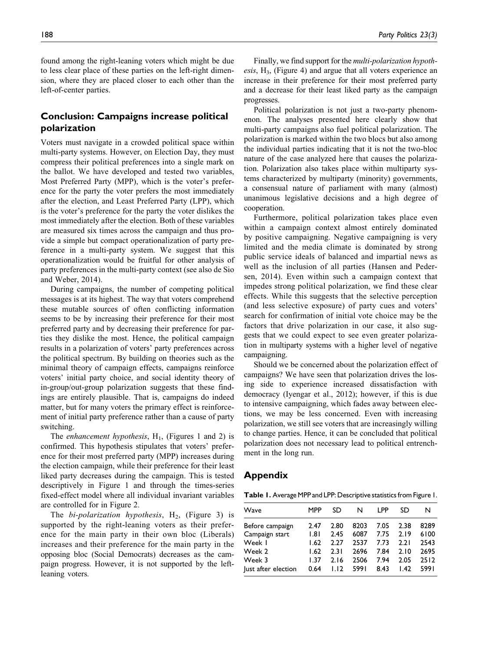found among the right-leaning voters which might be due to less clear place of these parties on the left-right dimension, where they are placed closer to each other than the left-of-center parties.

# Conclusion: Campaigns increase political polarization

Voters must navigate in a crowded political space within multi-party systems. However, on Election Day, they must compress their political preferences into a single mark on the ballot. We have developed and tested two variables, Most Preferred Party (MPP), which is the voter's preference for the party the voter prefers the most immediately after the election, and Least Preferred Party (LPP), which is the voter's preference for the party the voter dislikes the most immediately after the election. Both of these variables are measured six times across the campaign and thus provide a simple but compact operationalization of party preference in a multi-party system. We suggest that this operationalization would be fruitful for other analysis of party preferences in the multi-party context (see also de Sio and Weber, 2014).

During campaigns, the number of competing political messages is at its highest. The way that voters comprehend these mutable sources of often conflicting information seems to be by increasing their preference for their most preferred party and by decreasing their preference for parties they dislike the most. Hence, the political campaign results in a polarization of voters' party preferences across the political spectrum. By building on theories such as the minimal theory of campaign effects, campaigns reinforce voters' initial party choice, and social identity theory of in-group/out-group polarization suggests that these findings are entirely plausible. That is, campaigns do indeed matter, but for many voters the primary effect is reinforcement of initial party preference rather than a cause of party switching.

The *enhancement hypothesis*,  $H_1$ , (Figures 1 and 2) is confirmed. This hypothesis stipulates that voters' preference for their most preferred party (MPP) increases during the election campaign, while their preference for their least liked party decreases during the campaign. This is tested descriptively in Figure 1 and through the times-series fixed-effect model where all individual invariant variables are controlled for in Figure 2.

The *bi-polarization hypothesis*,  $H_2$ , (Figure 3) is supported by the right-leaning voters as their preference for the main party in their own bloc (Liberals) increases and their preference for the main party in the opposing bloc (Social Democrats) decreases as the campaign progress. However, it is not supported by the leftleaning voters.

Finally, we find support for the multi-polarization hypoth*esis*,  $H_3$ , (Figure 4) and argue that all voters experience an increase in their preference for their most preferred party and a decrease for their least liked party as the campaign progresses.

Political polarization is not just a two-party phenomenon. The analyses presented here clearly show that multi-party campaigns also fuel political polarization. The polarization is marked within the two blocs but also among the individual parties indicating that it is not the two-bloc nature of the case analyzed here that causes the polarization. Polarization also takes place within multiparty systems characterized by multiparty (minority) governments, a consensual nature of parliament with many (almost) unanimous legislative decisions and a high degree of cooperation.

Furthermore, political polarization takes place even within a campaign context almost entirely dominated by positive campaigning. Negative campaigning is very limited and the media climate is dominated by strong public service ideals of balanced and impartial news as well as the inclusion of all parties (Hansen and Pedersen, 2014). Even within such a campaign context that impedes strong political polarization, we find these clear effects. While this suggests that the selective perception (and less selective exposure) of party cues and voters' search for confirmation of initial vote choice may be the factors that drive polarization in our case, it also suggests that we could expect to see even greater polarization in multiparty systems with a higher level of negative campaigning.

Should we be concerned about the polarization effect of campaigns? We have seen that polarization drives the losing side to experience increased dissatisfaction with democracy (Iyengar et al., 2012); however, if this is due to intensive campaigning, which fades away between elections, we may be less concerned. Even with increasing polarization, we still see voters that are increasingly willing to change parties. Hence, it can be concluded that political polarization does not necessary lead to political entrenchment in the long run.

#### Appendix

Table 1. Average MPP and LPP: Descriptive statistics from Figure 1.

| Wave                | <b>MPP</b> | SD   | N    | LPP  | SD   | N    |
|---------------------|------------|------|------|------|------|------|
| Before campaign     | 2.47       | 2.80 | 8203 | 7.05 | 2.38 | 8289 |
| Campaign start      | 1.81       | 2.45 | 6087 | 7.75 | 2.19 | 6100 |
| Week I              | 1.62       | 2.27 | 2537 | 7.73 | 2.21 | 2543 |
| Week 2              | 1.62       | 2.31 | 2696 | 7.84 | 2.10 | 2695 |
| Week 3              | 1.37       | 2.16 | 2506 | 7.94 | 2.05 | 2512 |
| lust after election | 0.64       | 1.12 | 5991 | 8.43 | 1.42 | 5991 |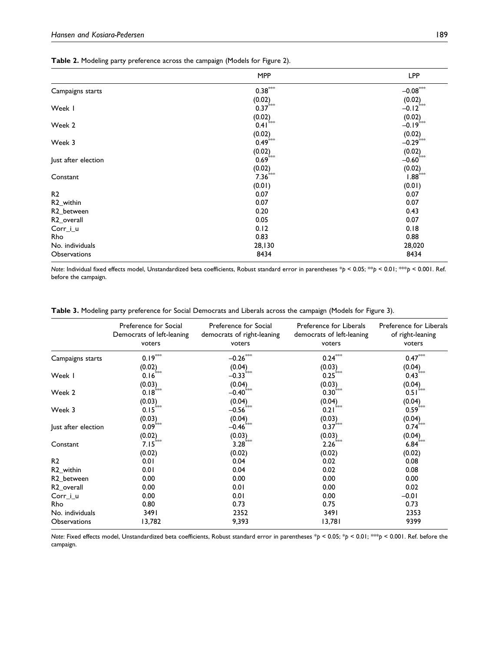| Table 2. Modeling party preference across the campaign (Models for Figure 2). |
|-------------------------------------------------------------------------------|
|-------------------------------------------------------------------------------|

|                        | <b>MPP</b>                         | LPP                                  |
|------------------------|------------------------------------|--------------------------------------|
| Campaigns starts       | $0.38^{***}$                       | $-0.08$                              |
| Week I                 | (0.02)<br>$0.37$ <sup>\$stek</sup> | (0.02)<br>$-0.12$ <sup>\$s\$\$</sup> |
| Week 2                 | (0.02)<br>0.41                     | (0.02)<br>$-0.19$                    |
| Week 3                 | (0.02)<br>0.49                     | (0.02)<br>$-0.29$ <sup>3</sup>       |
|                        | (0.02)<br>0.69                     | $(0.02)$<br>-0.60 <sup>***</sup>     |
| Just after election    | (0.02)                             |                                      |
| Constant               | 7.36                               | $(0.02)$<br>1.88                     |
| R <sub>2</sub>         | (0.01)<br>0.07                     | (0.01)<br>0.07                       |
| R <sub>2</sub> within  | 0.07                               | 0.07                                 |
| R <sub>2</sub> between | 0.20                               | 0.43                                 |
| R <sub>2</sub> overall | 0.05                               | 0.07                                 |
| Corr_i_u               | 0.12                               | 0.18                                 |
| Rho                    | 0.83                               | 0.88                                 |
| No. individuals        | 28,130                             | 28,020                               |
| Observations           | 8434                               | 8434                                 |

Note: Individual fixed effects model, Unstandardized beta coefficients, Robust standard error in parentheses \*p < 0.05; \*\*p < 0.01; \*\*\*p < 0.001. Ref. before the campaign.

Table 3. Modeling party preference for Social Democrats and Liberals across the campaign (Models for Figure 3).

|                        | Preference for Social<br>Democrats of left-leaning<br>voters | Preference for Social<br>democrats of right-leaning<br>voters | Preference for Liberals<br>democrats of left-leaning<br>voters | Preference for Liberals<br>of right-leaning<br>voters |
|------------------------|--------------------------------------------------------------|---------------------------------------------------------------|----------------------------------------------------------------|-------------------------------------------------------|
| Campaigns starts       | $0.19$ <sup>***</sup>                                        | $-0.26$                                                       | 0.24                                                           | 0.47                                                  |
|                        | (0.02)                                                       | (0.04)                                                        | (0.03)                                                         | (0.04)                                                |
| Week I                 | 0.16                                                         | $-0.33$ <sup>\$e}e}</sup>                                     | $0.25^{\degree}$                                               | $0.43^{\degree}$                                      |
|                        | (0.03)                                                       | (0.04)                                                        | (0.03)                                                         | (0.04)                                                |
| Week 2                 | 0.18                                                         | $-0.40$                                                       | 0.30                                                           | 0.51                                                  |
|                        | (0.03)                                                       | (0.04)                                                        | (0.04)                                                         | (0.04)                                                |
| Week 3                 | $0.15$ <sup>\$040}</sup>                                     | $-0.56$                                                       | 0.21                                                           | 0.59                                                  |
|                        | (0.03)                                                       | (0.04)                                                        | (0.03)                                                         | (0.04)                                                |
| Just after election    | 0.09                                                         | $-0.46$                                                       | 0.37                                                           | 0.74                                                  |
|                        | (0.02)                                                       | (0.03)                                                        | (0.03)                                                         | (0.04)                                                |
| Constant               | 7.15                                                         | 3.28                                                          | $2.26^{\circ}$                                                 | 6.84                                                  |
|                        | (0.02)                                                       | (0.02)                                                        | (0.02)                                                         | (0.02)                                                |
| R <sub>2</sub>         | 0.01                                                         | 0.04                                                          | 0.02                                                           | 0.08                                                  |
| R <sub>2</sub> within  | 0.01                                                         | 0.04                                                          | 0.02                                                           | 0.08                                                  |
| R <sub>2</sub> between | 0.00                                                         | 0.00                                                          | 0.00                                                           | 0.00                                                  |
| R <sub>2</sub> overall | 0.00                                                         | 0.01                                                          | 0.00                                                           | 0.02                                                  |
| Corr_i_u               | 0.00                                                         | 0.01                                                          | 0.00                                                           | $-0.01$                                               |
| Rho                    | 0.80                                                         | 0.73                                                          | 0.75                                                           | 0.73                                                  |
| No. individuals        | 3491                                                         | 2352                                                          | 3491                                                           | 2353                                                  |
| <b>Observations</b>    | 13,782                                                       | 9,393                                                         | 13,781                                                         | 9399                                                  |

Note: Fixed effects model, Unstandardized beta coefficients, Robust standard error in parentheses \*p < 0.05; \*p < 0.01; \*\*\*p < 0.001. Ref. before the campaign.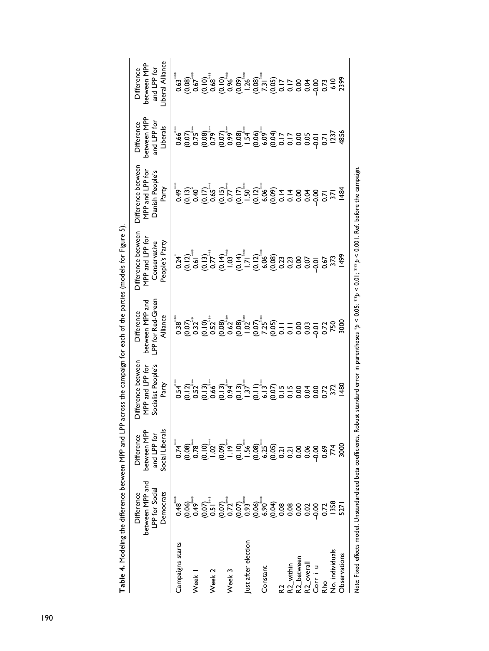|                                 | between MPP and<br>LPP for Social<br>Democrats<br>Difference    | between MPP<br>Social Liberals<br>and LPP for<br>Difference | Oifference betweer<br>Socialist People's<br>MPP and LPP for<br>Party | between MPP and<br>LPP for Red-Green<br>Difference<br>Alliance | Difference between<br>MPP and LPP for<br>Conservative<br>People's Party                          | Oifference between<br>MPP and LPP for<br>Danish People's<br>Party                                                                                                                                                                                                                                                                                                                                                                                            | between MPP<br>Difference<br>and LPP for<br>Liberals | iberal Alliance<br>between MPP<br>and LPP for<br>Difference |
|---------------------------------|-----------------------------------------------------------------|-------------------------------------------------------------|----------------------------------------------------------------------|----------------------------------------------------------------|--------------------------------------------------------------------------------------------------|--------------------------------------------------------------------------------------------------------------------------------------------------------------------------------------------------------------------------------------------------------------------------------------------------------------------------------------------------------------------------------------------------------------------------------------------------------------|------------------------------------------------------|-------------------------------------------------------------|
| Campaigns starts                | $0.48***$                                                       | $0.74***$                                                   |                                                                      |                                                                |                                                                                                  |                                                                                                                                                                                                                                                                                                                                                                                                                                                              |                                                      |                                                             |
| Week I                          |                                                                 |                                                             |                                                                      |                                                                |                                                                                                  |                                                                                                                                                                                                                                                                                                                                                                                                                                                              |                                                      |                                                             |
| Week <sub>2</sub>               |                                                                 |                                                             |                                                                      |                                                                |                                                                                                  | $\begin{array}{l} \begin{array}{c} \frac{1}{4} \\ 4 \\ 4 \\ 2 \\ 3 \\ 4 \end{array} \\ \begin{array}{l} \frac{1}{4} \\ 2 \\ 3 \\ 4 \end{array} \\ \begin{array}{l} \frac{1}{4} \\ 2 \\ 3 \\ 4 \end{array} \\ \begin{array}{l} \frac{1}{4} \\ 2 \\ 4 \\ 5 \\ 6 \\ 1 \end{array} \\ \begin{array}{l} \frac{1}{4} \\ 2 \\ 3 \\ 4 \end{array} \\ \begin{array}{l} \frac{1}{4} \\ 2 \\ 4 \\ 5 \\ 6 \\ 6 \end{array} \\ \begin{array}{l} \frac{1}{4} \\ 2 \\ 3 \\$ |                                                      |                                                             |
|                                 |                                                                 |                                                             |                                                                      |                                                                |                                                                                                  |                                                                                                                                                                                                                                                                                                                                                                                                                                                              |                                                      |                                                             |
| Week 3                          |                                                                 |                                                             |                                                                      |                                                                |                                                                                                  |                                                                                                                                                                                                                                                                                                                                                                                                                                                              |                                                      |                                                             |
| Just after election             |                                                                 |                                                             |                                                                      |                                                                |                                                                                                  |                                                                                                                                                                                                                                                                                                                                                                                                                                                              |                                                      |                                                             |
| Constant                        |                                                                 |                                                             |                                                                      |                                                                |                                                                                                  |                                                                                                                                                                                                                                                                                                                                                                                                                                                              |                                                      |                                                             |
|                                 |                                                                 |                                                             |                                                                      |                                                                |                                                                                                  |                                                                                                                                                                                                                                                                                                                                                                                                                                                              |                                                      |                                                             |
|                                 |                                                                 |                                                             |                                                                      |                                                                |                                                                                                  |                                                                                                                                                                                                                                                                                                                                                                                                                                                              |                                                      |                                                             |
| R2_within                       |                                                                 |                                                             |                                                                      |                                                                |                                                                                                  |                                                                                                                                                                                                                                                                                                                                                                                                                                                              |                                                      |                                                             |
| R2_between                      |                                                                 |                                                             |                                                                      |                                                                |                                                                                                  |                                                                                                                                                                                                                                                                                                                                                                                                                                                              |                                                      |                                                             |
| R2_overall                      |                                                                 |                                                             |                                                                      |                                                                |                                                                                                  |                                                                                                                                                                                                                                                                                                                                                                                                                                                              |                                                      |                                                             |
| $Corr_i \underline{\mathsf{i}}$ |                                                                 |                                                             |                                                                      |                                                                |                                                                                                  |                                                                                                                                                                                                                                                                                                                                                                                                                                                              |                                                      |                                                             |
| <u>နန</u>                       |                                                                 |                                                             |                                                                      |                                                                |                                                                                                  |                                                                                                                                                                                                                                                                                                                                                                                                                                                              |                                                      |                                                             |
| No. individuals                 | 1358                                                            | $\vec{r}$                                                   |                                                                      |                                                                | $\frac{373}{495}$                                                                                | $\frac{371}{484}$                                                                                                                                                                                                                                                                                                                                                                                                                                            |                                                      |                                                             |
| Observations                    | 527                                                             | 300C                                                        |                                                                      |                                                                |                                                                                                  |                                                                                                                                                                                                                                                                                                                                                                                                                                                              |                                                      |                                                             |
|                                 | Note: Fixed effects model, Unstandardized beta coefficients, Ro |                                                             |                                                                      |                                                                | bust standard error in parentheses *p < 0.05; **p < 0.01; ***p < 0.001. Ref. before the campaign |                                                                                                                                                                                                                                                                                                                                                                                                                                                              |                                                      |                                                             |

| I                          |
|----------------------------|
| $\vdots$                   |
|                            |
|                            |
|                            |
|                            |
|                            |
|                            |
|                            |
|                            |
|                            |
|                            |
|                            |
|                            |
|                            |
|                            |
|                            |
|                            |
|                            |
|                            |
|                            |
|                            |
|                            |
|                            |
|                            |
| $\frac{1}{2}$              |
|                            |
|                            |
|                            |
|                            |
|                            |
|                            |
|                            |
|                            |
|                            |
|                            |
|                            |
|                            |
|                            |
|                            |
|                            |
|                            |
|                            |
| l                          |
|                            |
|                            |
|                            |
| -<br>-<br>-<br>ć<br>į<br>l |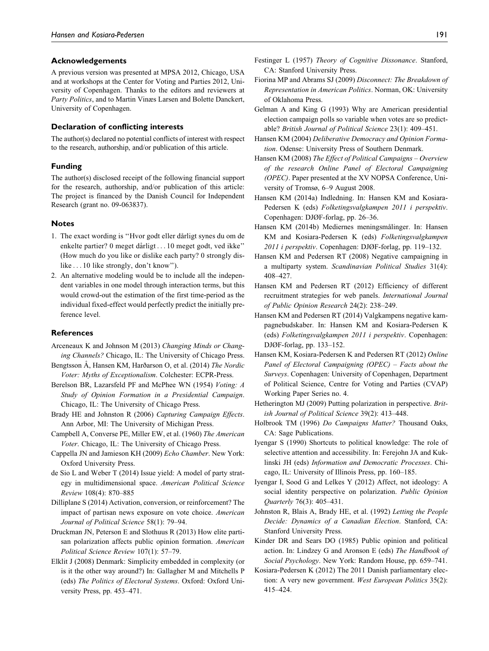#### Acknowledgements

A previous version was presented at MPSA 2012, Chicago, USA and at workshops at the Center for Voting and Parties 2012, University of Copenhagen. Thanks to the editors and reviewers at Party Politics, and to Martin Vinæs Larsen and Bolette Danckert, University of Copenhagen.

#### Declaration of conflicting interests

The author(s) declared no potential conflicts of interest with respect to the research, authorship, and/or publication of this article.

#### Funding

The author(s) disclosed receipt of the following financial support for the research, authorship, and/or publication of this article: The project is financed by the Danish Council for Independent Research (grant no. 09-063837).

#### **Notes**

- 1. The exact wording is "Hvor godt eller dårligt synes du om de enkelte partier? 0 meget dårligt . . . 10 meget godt, ved ikke" (How much do you like or dislike each party? 0 strongly dislike ... 10 like strongly, don't know'').
- 2. An alternative modeling would be to include all the independent variables in one model through interaction terms, but this would crowd-out the estimation of the first time-period as the individual fixed-effect would perfectly predict the initially preference level.

#### **References**

- Arceneaux K and Johnson M (2013) Changing Minds or Changing Channels? Chicago, IL: The University of Chicago Press.
- Bengtsson Å, Hansen KM, Harðarson O, et al. (2014) The Nordic Voter: Myths of Exceptionalism. Colchester: ECPR-Press.
- Berelson BR, Lazarsfeld PF and McPhee WN (1954) Voting: A Study of Opinion Formation in a Presidential Campaign. Chicago, IL: The University of Chicago Press.
- Brady HE and Johnston R (2006) Capturing Campaign Effects. Ann Arbor, MI: The University of Michigan Press.
- Campbell A, Converse PE, Miller EW, et al. (1960) The American Voter. Chicago, IL: The University of Chicago Press.
- Cappella JN and Jamieson KH (2009) Echo Chamber. New York: Oxford University Press.
- de Sio L and Weber T (2014) Issue yield: A model of party strategy in multidimensional space. American Political Science Review 108(4): 870–885
- Dilliplane S (2014) Activation, conversion, or reinforcement? The impact of partisan news exposure on vote choice. American Journal of Political Science 58(1): 79–94.
- Druckman JN, Peterson E and Slothuus R (2013) How elite partisan polarization affects public opinion formation. American Political Science Review 107(1): 57–79.
- Elklit J (2008) Denmark: Simplicity embedded in complexity (or is it the other way around?) In: Gallagher M and Mitchells P (eds) The Politics of Electoral Systems. Oxford: Oxford University Press, pp. 453–471.
- Festinger L (1957) Theory of Cognitive Dissonance. Stanford, CA: Stanford University Press.
- Fiorina MP and Abrams SJ (2009) Disconnect: The Breakdown of Representation in American Politics. Norman, OK: University of Oklahoma Press.
- Gelman A and King G (1993) Why are American presidential election campaign polls so variable when votes are so predictable? British Journal of Political Science 23(1): 409–451.
- Hansen KM (2004) Deliberative Democracy and Opinion Formation. Odense: University Press of Southern Denmark.
- Hansen KM (2008) The Effect of Political Campaigns Overview of the research Online Panel of Electoral Campaigning (OPEC). Paper presented at the XV NOPSA Conference, University of Tromsø, 6–9 August 2008.
- Hansen KM (2014a) Indledning. In: Hansen KM and Kosiara-Pedersen K (eds) Folketingsvalgkampen 2011 i perspektiv. Copenhagen: DJØF-forlag, pp. 26–36.
- Hansen KM (2014b) Mediernes meningsmålinger. In: Hansen KM and Kosiara-Pedersen K (eds) Folketingsvalgkampen 2011 i perspektiv. Copenhagen: DJØF-forlag, pp. 119–132.
- Hansen KM and Pedersen RT (2008) Negative campaigning in a multiparty system. Scandinavian Political Studies 31(4): 408–427.
- Hansen KM and Pedersen RT (2012) Efficiency of different recruitment strategies for web panels. International Journal of Public Opinion Research 24(2): 238–249.
- Hansen KM and Pedersen RT (2014) Valgkampens negative kampagnebudskaber. In: Hansen KM and Kosiara-Pedersen K (eds) Folketingsvalgkampen 2011 i perspektiv. Copenhagen: DJØF-forlag, pp. 133–152.
- Hansen KM, Kosiara-Pedersen K and Pedersen RT (2012) Online Panel of Electoral Campaigning (OPEC) – Facts about the Surveys. Copenhagen: University of Copenhagen, Department of Political Science, Centre for Voting and Parties (CVAP) Working Paper Series no. 4.
- Hetherington MJ (2009) Putting polarization in perspective. British Journal of Political Science 39(2): 413–448.
- Holbrook TM (1996) Do Campaigns Matter? Thousand Oaks, CA: Sage Publications.
- Iyengar S (1990) Shortcuts to political knowledge: The role of selective attention and accessibility. In: Ferejohn JA and Kuklinski JH (eds) Information and Democratic Processes. Chicago, IL: University of Illinois Press, pp. 160–185.
- Iyengar I, Sood G and Lelkes Y (2012) Affect, not ideology: A social identity perspective on polarization. Public Opinion Quarterly 76(3): 405–431.
- Johnston R, Blais A, Brady HE, et al. (1992) Letting the People Decide: Dynamics of a Canadian Election. Stanford, CA: Stanford University Press.
- Kinder DR and Sears DO (1985) Public opinion and political action. In: Lindzey G and Aronson E (eds) The Handbook of Social Psychology. New York: Random House, pp. 659–741.
- Kosiara-Pedersen K (2012) The 2011 Danish parliamentary election: A very new government. West European Politics 35(2): 415–424.